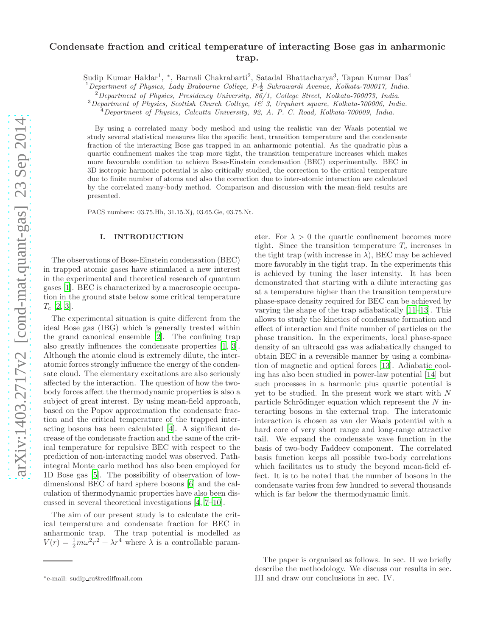# Condensate fraction and critical temperature of interacting Bose gas in anharmonic trap.

Sudip Kumar Haldar<sup>1</sup>, \*, Barnali Chakrabarti<sup>2</sup>, Satadal Bhattacharya<sup>3</sup>, Tapan Kumar Das<sup>4</sup>

 $^{1}$ Department of Physics, Lady Brabourne College,  $P-\frac{1}{2}$  Suhrawardi Avenue, Kolkata-700017, India.

<sup>2</sup>Department of Physics, Presidency University, 86/1, College Street, Kolkata-700073, India.

 $3$ Department of Physics, Scottish Church College, 1& 3, Urquhart square, Kolkata-700006, India.

 $^{4}$ Department of Physics, Calcutta University, 92, A. P. C. Road, Kolkata-700009, India.

By using a correlated many body method and using the realistic van der Waals potential we study several statistical measures like the specific heat, transition temperature and the condensate fraction of the interacting Bose gas trapped in an anharmonic potential. As the quadratic plus a quartic confinement makes the trap more tight, the transition temperature increases which makes more favourable condition to achieve Bose-Einstein condensation (BEC) experimentally. BEC in 3D isotropic harmonic potential is also critically studied, the correction to the critical temperature due to finite number of atoms and also the correction due to inter-atomic interaction are calculated by the correlated many-body method. Comparison and discussion with the mean-field results are presented.

PACS numbers: 03.75.Hh, 31.15.Xj, 03.65.Ge, 03.75.Nt.

### I. INTRODUCTION

The observations of Bose-Einstein condensation (BEC) in trapped atomic gases have stimulated a new interest in the experimental and theoretical research of quantum gases [\[1\]](#page-9-0). BEC is characterized by a macroscopic occupation in the ground state below some critical temperature  $T_c$  [\[2,](#page-9-1) [3](#page-9-2)].

The experimental situation is quite different from the ideal Bose gas (IBG) which is generally treated within the grand canonical ensemble [\[2\]](#page-9-1). The confining trap also greatly influences the condensate properties [\[1,](#page-9-0) [3\]](#page-9-2). Although the atomic cloud is extremely dilute, the interatomic forces strongly influence the energy of the condensate cloud. The elementary excitations are also seriously affected by the interaction. The question of how the twobody forces affect the thermodynamic properties is also a subject of great interest. By using mean-field approach, based on the Popov approximation the condensate fraction and the critical temperature of the trapped interacting bosons has been calculated [\[4](#page-9-3)]. A significant decrease of the condensate fraction and the same of the critical temperature for repulsive BEC with respect to the prediction of non-interacting model was observed. Pathintegral Monte carlo method has also been employed for 1D Bose gas [\[5](#page-9-4)]. The possibility of observation of lowdimensional BEC of hard sphere bosons [\[6](#page-9-5)] and the calculation of thermodynamic properties have also been discussed in several theoretical investigations [\[4,](#page-9-3) [7](#page-9-6)[–10\]](#page-9-7).

The aim of our present study is to calculate the critical temperature and condensate fraction for BEC in anharmonic trap. The trap potential is modelled as  $V(r) = \frac{1}{2}m\omega^2r^2 + \lambda r^4$  where  $\lambda$  is a controllable param-

eter. For  $\lambda > 0$  the quartic confinement becomes more tight. Since the transition temperature  $T_c$  increases in the tight trap (with increase in  $\lambda$ ), BEC may be achieved more favorably in the tight trap. In the experiments this is achieved by tuning the laser intensity. It has been demonstrated that starting with a dilute interacting gas at a temperature higher than the transition temperature phase-space density required for BEC can be achieved by varying the shape of the trap adiabatically [\[11](#page-9-8)[–13\]](#page-9-9). This allows to study the kinetics of condensate formation and effect of interaction and finite number of particles on the phase transition. In the experiments, local phase-space density of an ultracold gas was adiabatically changed to obtain BEC in a reversible manner by using a combination of magnetic and optical forces [\[13](#page-9-9)]. Adiabatic cooling has also been studied in power-law potential [\[14](#page-9-10)] but such processes in a harmonic plus quartic potential is yet to be studied. In the present work we start with N particle Schrödinger equation which represent the  $N$  interacting bosons in the external trap. The interatomic interaction is chosen as van der Waals potential with a hard core of very short range and long-range attractive tail. We expand the condensate wave function in the basis of two-body Faddeev component. The correlated basis function keeps all possible two-body correlations which facilitates us to study the beyond mean-field effect. It is to be noted that the number of bosons in the condensate varies from few hundred to several thousands which is far below the thermodynamic limit.

<sup>∗</sup>e-mail: sudip cu@rediffmail.com

The paper is organised as follows. In sec. II we briefly describe the methodology. We discuss our results in sec. III and draw our conclusions in sec. IV.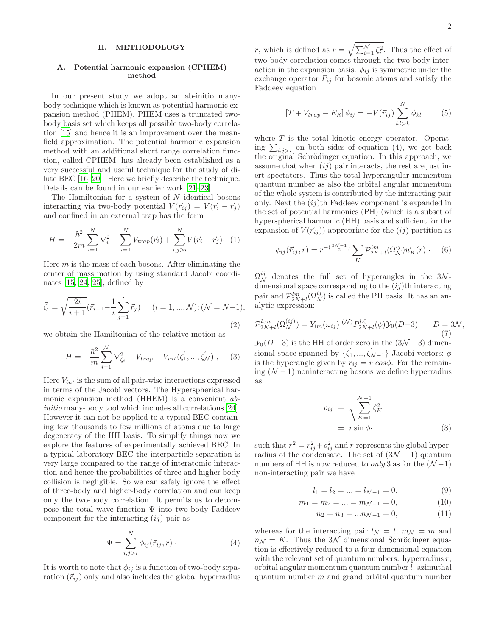#### II. METHODOLOGY

### A. Potential harmonic expansion (CPHEM) method

In our present study we adopt an ab-initio manybody technique which is known as potential harmonic expansion method (PHEM). PHEM uses a truncated twobody basis set which keeps all possible two-body correlation [\[15](#page-9-11)] and hence it is an improvement over the meanfield approximation. The potential harmonic expansion method with an additional short range correlation function, called CPHEM, has already been established as a very successful and useful technique for the study of dilute BEC [\[16](#page-9-12)[–20\]](#page-9-13). Here we briefly describe the technique. Details can be found in our earlier work [\[21](#page-9-14)[–23\]](#page-9-15).

The Hamiltonian for a system of  $N$  identical bosons interacting via two-body potential  $V(\vec{r}_{ij}) = V(\vec{r}_i - \vec{r}_j)$ and confined in an external trap has the form

$$
H = -\frac{\hbar^2}{2m} \sum_{i=1}^{N} \nabla_i^2 + \sum_{i=1}^{N} V_{trap}(\vec{r}_i) + \sum_{i,j>i}^{N} V(\vec{r}_i - \vec{r}_j) \cdot (1)
$$

Here  $m$  is the mass of each bosons. After eliminating the center of mass motion by using standard Jacobi coordinates [\[15,](#page-9-11) [24,](#page-9-16) [25\]](#page-9-17), defined by

$$
\vec{\zeta}_i = \sqrt{\frac{2i}{i+1}} (\vec{r}_{i+1} - \frac{1}{i} \sum_{j=1}^i \vec{r}_j) \quad (i = 1, ..., \mathcal{N}); (\mathcal{N} = N-1),
$$
\n(2)

we obtain the Hamiltonian of the relative motion as

$$
H = -\frac{\hbar^2}{m} \sum_{i=1}^{N} \nabla_{\zeta_i}^2 + V_{trap} + V_{int}(\vec{\zeta}_1, ..., \vec{\zeta}_N) , \quad (3)
$$

Here  $V_{int}$  is the sum of all pair-wise interactions expressed in terms of the Jacobi vectors. The Hyperspherical harmonic expansion method (HHEM) is a convenient abinitio many-body tool which includes all correlations [\[24\]](#page-9-16). However it can not be applied to a typical BEC containing few thousands to few millions of atoms due to large degeneracy of the HH basis. To simplify things now we explore the features of experimentally achieved BEC. In a typical laboratory BEC the interparticle separation is very large compared to the range of interatomic interaction and hence the probabilities of three and higher body collision is negligible. So we can safely ignore the effect of three-body and higher-body correlation and can keep only the two-body correlation. It permits us to decompose the total wave function  $\Psi$  into two-body Faddeev component for the interacting  $(ij)$  pair as

$$
\Psi = \sum_{i,j>i}^{N} \phi_{ij}(\vec{r}_{ij},r) \tag{4}
$$

It is worth to note that  $\phi_{ij}$  is a function of two-body separation  $(\vec{r}_{ij})$  only and also includes the global hyperradius

r, which is defined as  $r = \sqrt{\sum_{i=1}^{N} \zeta_i^2}$ . Thus the effect of two-body correlation comes through the two-body interaction in the expansion basis.  $\phi_{ij}$  is symmetric under the exchange operator  $P_{ij}$  for bosonic atoms and satisfy the Faddeev equation

$$
[T + V_{trap} - E_R] \phi_{ij} = -V(\vec{r}_{ij}) \sum_{kl > k}^{N} \phi_{kl} \qquad (5)
$$

where  $T$  is the total kinetic energy operator. Operating  $\sum_{i,j>i}$  on both sides of equation (4), we get back the original Schrödinger equation. In this approach, we assume that when  $(ij)$  pair interacts, the rest are just inert spectators. Thus the total hyperangular momentum quantum number as also the orbital angular momentum of the whole system is contributed by the interacting pair only. Next the  $(ij)$ <sup>th</sup> Faddeev component is expanded in the set of potential harmonics (PH) (which is a subset of hyperspherical harmonic (HH) basis and sufficient for the expansion of  $V(\vec{r}_{ij})$  appropriate for the  $(ij)$  partition as

$$
\phi_{ij}(\vec{r}_{ij},r) = r^{-(\frac{3\mathcal{N}-1}{2})} \sum_{K} \mathcal{P}_{2K+l}^{lm}(\Omega_N^{ij}) u_K^l(r) \qquad (6)
$$

 $\Omega_N^{ij}$  denotes the full set of hyperangles in the 3Ndimensional space corresponding to the  $(ij)$ <sup>th</sup> interacting pair and  $\mathcal{P}_{2K+l}^{lm}(\Omega_{\mathcal{N}}^{ij})$  is called the PH basis. It has an analytic expression:

$$
\mathcal{P}_{2K+l}^{l,m}(\Omega_N^{(ij)}) = Y_{lm}(\omega_{ij}) \stackrel{(\mathcal{N})}{\longrightarrow} P_{2K+l}^{l,0}(\phi) \mathcal{Y}_0(D-3); \qquad D = 3\mathcal{N},\tag{7}
$$

 $\mathcal{Y}_0(D-3)$  is the HH of order zero in the  $(3\mathcal{N}-3)$  dimensional space spanned by  $\{\vec{\zeta}_1, ..., \vec{\zeta}_{N-1}\}$  Jacobi vectors;  $\phi$ is the hyperangle given by  $r_{ij} = r \cos \phi$ . For the remaining  $(N-1)$  noninteracting bosons we define hyperradius as

$$
\rho_{ij} = \sqrt{\sum_{K=1}^{N-1} \zeta_K^2}
$$
  
=  $r \sin \phi$ . (8)

such that  $r^2 = r_{ij}^2 + \rho_{ij}^2$  and r represents the global hyperradius of the condensate. The set of  $(3\mathcal{N} - 1)$  quantum numbers of HH is now reduced to *only* 3 as for the  $(N-1)$ non-interacting pair we have

$$
l_1 = l_2 = \dots = l_{\mathcal{N}-1} = 0,\tag{9}
$$

$$
m_1 = m_2 = \dots = m_{\mathcal{N}-1} = 0,\tag{10}
$$

$$
n_2 = n_3 = ... n_{\mathcal{N}-1} = 0,\tag{11}
$$

whereas for the interacting pair  $l_N = l$ ,  $m_N = m$  and  $n_N = K$ . Thus the 3N dimensional Schrödinger equation is effectively reduced to a four dimensional equation with the relevant set of quantum numbers: hyperradius  $r$ , orbital angular momentum quantum number l, azimuthal quantum number  $m$  and grand orbital quantum number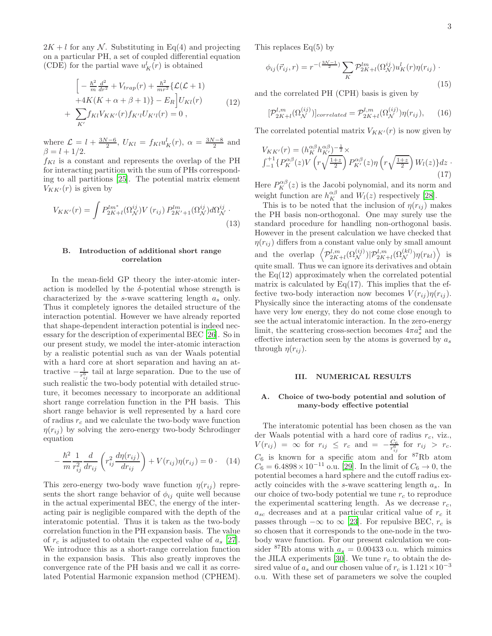$2K + l$  for any N. Substituting in Eq(4) and projecting on a particular PH, a set of coupled differential equation (CDE) for the partial wave  $u_K^l(r)$  is obtained

$$
\left[ -\frac{\hbar^2}{m} \frac{d^2}{dr^2} + V_{trap}(r) + \frac{\hbar^2}{mr^2} \{ \mathcal{L}(\mathcal{L} + 1) + 4K(K + \alpha + \beta + 1) \} - E_R \right] U_{Kl}(r) + \sum_{K'} f_{Kl} V_{KK'}(r) f_{K'l} U_{K'l}(r) = 0 ,
$$
\n(12)

where  $\mathcal{L} = l + \frac{3N-6}{2}$ ,  $U_{Kl} = f_{Kl} u_K^l(r)$ ,  $\alpha = \frac{3N-8}{2}$  and  $\beta = l + 1/2.$ 

 $f_{Kl}$  is a constant and represents the overlap of the PH for interacting partition with the sum of PHs corresponding to all partitions [\[25](#page-9-17)]. The potential matrix element  $V_{KK'}(r)$  is given by

$$
V_{KK'}(r) = \int P_{2K+l}^{lm^*} (\Omega_N^{ij}) V(r_{ij}) P_{2K'+1}^{lm} (\Omega_N^{ij}) d\Omega_N^{ij}.
$$
\n(13)

# B. Introduction of additional short range correlation

In the mean-field GP theory the inter-atomic interaction is modelled by the  $\delta$ -potential whose strength is characterized by the s-wave scattering length  $a_s$  only. Thus it completely ignores the detailed structure of the interaction potential. However we have already reported that shape-dependent interaction potential is indeed necessary for the description of experimental BEC [\[26](#page-9-18)]. So in our present study, we model the inter-atomic interaction by a realistic potential such as van der Waals potential with a hard core at short separation and having an attractive  $-\frac{1}{r_{ij}^6}$  tail at large separation. Due to the use of such realistic the two-body potential with detailed structure, it becomes necessary to incorporate an additional short range correlation function in the PH basis. This short range behavior is well represented by a hard core of radius  $r_c$  and we calculate the two-body wave function  $\eta(r_{ij})$  by solving the zero-energy two-body Schrodinger equation

$$
-\frac{\hbar^2}{m} \frac{1}{r_{ij}^2} \frac{d}{dr_{ij}} \left( r_{ij}^2 \frac{d\eta(r_{ij})}{dr_{ij}} \right) + V(r_{ij})\eta(r_{ij}) = 0 \qquad (14)
$$

This zero-energy two-body wave function  $\eta(r_{ij})$  represents the short range behavior of  $\phi_{ij}$  quite well because in the actual experimental BEC, the energy of the interacting pair is negligible compared with the depth of the interatomic potential. Thus it is taken as the two-body correlation function in the PH expansion basis. The value of  $r_c$  is adjusted to obtain the expected value of  $a_s$  [\[27\]](#page-9-19). We introduce this as a short-range correlation function in the expansion basis. This also greatly improves the convergence rate of the PH basis and we call it as correlated Potential Harmonic expansion method (CPHEM).

This replaces  $Eq(5)$  by

$$
\phi_{ij}(\vec{r}_{ij},r) = r^{-\left(\frac{3\mathcal{N}-1}{2}\right)} \sum_{K} \mathcal{P}_{2K+l}^{lm}(\Omega_{\mathcal{N}}^{ij}) u_K^l(r) \eta(r_{ij})
$$
\n(15)

and the correlated PH (CPH) basis is given by

$$
[\mathcal{P}_{2K+l}^{l,m}(\Omega_N^{(ij)})]_{correlated} = \mathcal{P}_{2K+l}^{l,m}(\Omega_N^{(ij)})\eta(r_{ij}),\qquad(16)
$$

The correlated potential matrix  $V_{KK'}(r)$  is now given by

$$
V_{KK'}(r) = (h_K^{\alpha\beta} h_{K'}^{\alpha\beta})^{-\frac{1}{2}} \times
$$
  

$$
\int_{-1}^{+1} \{ P_K^{\alpha\beta}(z) V\left( r \sqrt{\frac{1+z}{2}} \right) P_{K'}^{\alpha\beta}(z) \eta\left( r \sqrt{\frac{1+z}{2}} \right) W_l(z) \} dz
$$
 (17)

Here  $P_K^{\alpha\beta}(z)$  is the Jacobi polynomial, and its norm and weight function are  $h_K^{\alpha\beta}$  and  $W_l(z)$  respectively [\[28\]](#page-9-20).

This is to be noted that the inclusion of  $\eta(r_{ij})$  makes the PH basis non-orthogonal. One may surely use the standard procedure for handling non-orthogonal basis. However in the present calculation we have checked that  $\eta(r_{ij})$  differs from a constant value only by small amount and the overlap  $\left\langle \mathcal{P}_{2K+l}^{l,m}(\Omega_N^{(ij)}) | \mathcal{P}_{2K+l}^{l,m}(\Omega_N^{(kl)}) \eta(r_{kl}) \right\rangle$  is quite small. Thus we can ignore its derivatives and obtain the  $Eq(12)$  approximately when the correlated potential matrix is calculated by  $Eq(17)$ . This implies that the effective two-body interaction now becomes  $V(r_{ij})\eta(r_{ij})$ . Physically since the interacting atoms of the condensate have very low energy, they do not come close enough to see the actual interatomic interaction. In the zero-energy limit, the scattering cross-section becomes  $4\pi a_s^2$  and the effective interaction seen by the atoms is governed by  $a_s$ through  $\eta(r_{ii})$ .

#### III. NUMERICAL RESULTS

# A. Choice of two-body potential and solution of many-body effective potential

The interatomic potential has been chosen as the van der Waals potential with a hard core of radius  $r_c$ , viz.,  $V(r_{ij}) = \infty$  for  $r_{ij} \leq r_c$  and  $= -\frac{C_6}{r_{ij}^6}$  for  $r_{ij} > r_c$ .  $C_6$  is known for a specific atom and for  ${}^{87}Rb$  atom  $C_6 = 6.4898 \times 10^{-11}$  o.u. [\[29](#page-9-21)]. In the limit of  $C_6 \to 0$ , the potential becomes a hard sphere and the cutoff radius exactly coincides with the s-wave scattering length  $a_s$ . In our choice of two-body potential we tune  $r_c$  to reproduce the experimental scattering length. As we decrease  $r_c$ ,  $a_{sc}$  decreases and at a particular critical value of  $r_c$  it passes through  $-\infty$  to  $\infty$  [\[23](#page-9-15)]. For repulsive BEC,  $r_c$  is so chosen that it corresponds to the one-node in the twobody wave function. For our present calculation we consider <sup>87</sup>Rb atoms with  $a_s = 0.00433$  o.u. which mimics the JILA experiments [\[30\]](#page-9-22). We tune  $r_c$  to obtain the desired value of  $a_s$  and our chosen value of  $r_c$  is  $1.121 \times 10^{-3}$ o.u. With these set of parameters we solve the coupled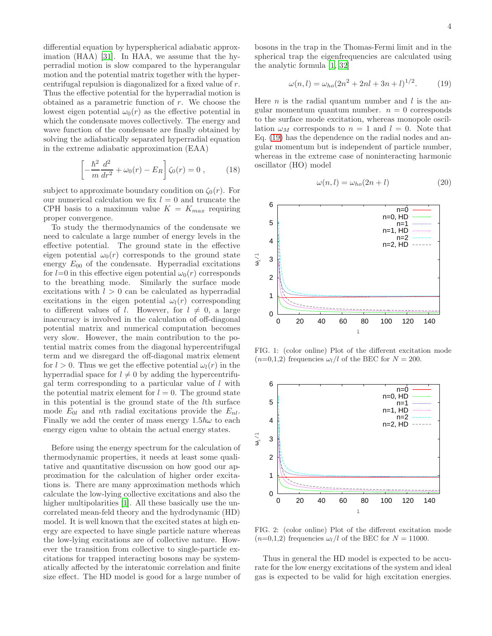differential equation by hyperspherical adiabatic approximation (HAA) [\[31\]](#page-9-23). In HAA, we assume that the hyperradial motion is slow compared to the hyperangular motion and the potential matrix together with the hypercentrifugal repulsion is diagonalized for a fixed value of r. Thus the effective potential for the hyperradial motion is obtained as a parametric function of  $r$ . We choose the lowest eigen potential  $\omega_0(r)$  as the effective potential in which the condensate moves collectively. The energy and wave function of the condensate are finally obtained by solving the adiabatically separated hyperradial equation in the extreme adiabatic approximation (EAA)

$$
\left[ -\frac{\hbar^2}{m} \frac{d^2}{dr^2} + \omega_0(r) - E_R \right] \zeta_0(r) = 0 , \qquad (18)
$$

subject to approximate boundary condition on  $\zeta_0(r)$ . For our numerical calculation we fix  $l = 0$  and truncate the CPH basis to a maximum value  $K = K_{max}$  requiring proper convergence.

To study the thermodynamics of the condensate we need to calculate a large number of energy levels in the effective potential. The ground state in the effective eigen potential  $\omega_0(r)$  corresponds to the ground state energy  $E_{00}$  of the condensate. Hyperradial excitations for  $l=0$  in this effective eigen potential  $\omega_0(r)$  corresponds to the breathing mode. Similarly the surface mode excitations with  $l > 0$  can be calculated as hyperradial excitations in the eigen potential  $\omega_l(r)$  corresponding to different values of l. However, for  $l \neq 0$ , a large inaccuracy is involved in the calculation of off-diagonal potential matrix and numerical computation becomes very slow. However, the main contribution to the potential matrix comes from the diagonal hypercentrifugal term and we disregard the off-diagonal matrix element for  $l > 0$ . Thus we get the effective potential  $\omega_l(r)$  in the hyperradial space for  $l \neq 0$  by adding the hypercentrifugal term corresponding to a particular value of  $l$  with the potential matrix element for  $l = 0$ . The ground state in this potential is the ground state of the lth surface mode  $E_{0l}$  and nth radial excitations provide the  $E_{nl}$ . Finally we add the center of mass energy  $1.5\hbar\omega$  to each energy eigen value to obtain the actual energy states.

Before using the energy spectrum for the calculation of thermodynamic properties, it needs at least some qualitative and quantitative discussion on how good our approximation for the calculation of higher order excitations is. There are many approximation methods which calculate the low-lying collective excitations and also the higher multipolarities [\[1\]](#page-9-0). All these basically use the uncorrelated mean-feld theory and the hydrodynamic (HD) model. It is well known that the excited states at high energy are expected to have single particle nature whereas the low-lying excitations are of collective nature. However the transition from collective to single-particle excitations for trapped interacting bosons may be systematically affected by the interatomic correlation and finite size effect. The HD model is good for a large number of bosons in the trap in the Thomas-Fermi limit and in the spherical trap the eigenfrequencies are calculated using the analytic formula [\[1](#page-9-0), [32\]](#page-9-24)

<span id="page-3-0"></span>
$$
\omega(n,l) = \omega_{ho}(2n^2 + 2nl + 3n + l)^{1/2}.
$$
 (19)

Here  $n$  is the radial quantum number and  $l$  is the angular momentum quantum number.  $n = 0$  corresponds to the surface mode excitation, whereas monopole oscillation  $\omega_M$  corresponds to  $n = 1$  and  $l = 0$ . Note that Eq. [\(19\)](#page-3-0) has the dependence on the radial nodes and angular momentum but is independent of particle number, whereas in the extreme case of noninteracting harmonic oscillator (HO) model

$$
\omega(n,l) = \omega_{ho}(2n+l) \tag{20}
$$



<span id="page-3-1"></span>FIG. 1: (color online) Plot of the different excitation mode  $(n=0,1,2)$  frequencies  $\omega_l/l$  of the BEC for  $N = 200$ .



<span id="page-3-2"></span>FIG. 2: (color online) Plot of the different excitation mode  $(n=0,1,2)$  frequencies  $\omega_l/l$  of the BEC for  $N = 11000$ .

Thus in general the HD model is expected to be accurate for the low energy excitations of the system and ideal gas is expected to be valid for high excitation energies.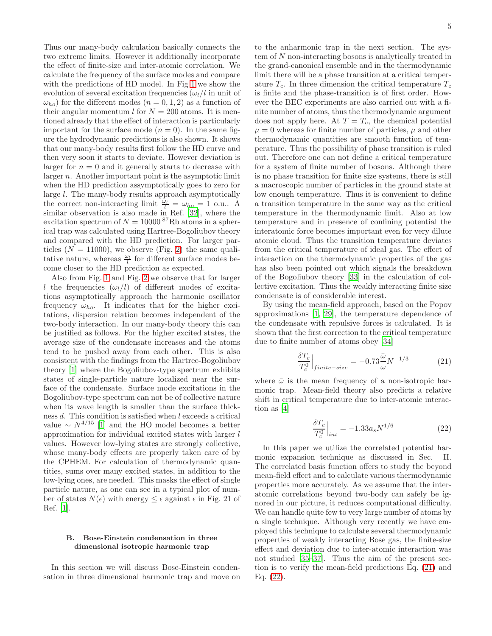Thus our many-body calculation basically connects the two extreme limits. However it additionally incorporate the effect of finite-size and inter-atomic correlation. We calculate the frequency of the surface modes and compare with the predictions of HD model. In Fig [1](#page-3-1) we show the evolution of several excitation frequencies  $(\omega_l/l)$  in unit of  $\omega_{ho}$ ) for the different modes  $(n = 0, 1, 2)$  as a function of their angular momentum l for  $N = 200$  atoms. It is mentioned already that the effect of interaction is particularly important for the surface mode  $(n = 0)$ . In the same figure the hydrodynamic predictions is also shown. It shows that our many-body results first follow the HD curve and then very soon it starts to deviate. However deviation is larger for  $n = 0$  and it generally starts to decrease with larger n. Another important point is the asymptotic limit when the HD prediction assymptotically goes to zero for large l. The many-body results approach asymptotically the correct non-interacting limit  $\frac{\omega_l}{l} = \omega_{ho} = 1$  o.u.. A similar observation is also made in Ref. [\[32](#page-9-24)], where the excitation spectrum of  $N = 10000$  <sup>87</sup>Rb atoms in a spherical trap was calculated using Hartree-Bogoliubov theory and compared with the HD prediction. For larger particles  $(N = 11000)$ , we observe (Fig. [2\)](#page-3-2) the same qualitative nature, whereas  $\frac{\omega_l}{l}$  for different surface modes become closer to the HD prediction as expected.

Also from Fig. [1](#page-3-1) and Fig. [2](#page-3-2) we observe that for larger l the frequencies  $(\omega_l/l)$  of different modes of excitations asymptotically approach the harmonic oscillator frequency  $\omega_{ho}$ . It indicates that for the higher excitations, dispersion relation becomes independent of the two-body interaction. In our many-body theory this can be justified as follows. For the higher excited states, the average size of the condensate increases and the atoms tend to be pushed away from each other. This is also consistent with the findings from the Hartree-Bogoliubov theory [\[1](#page-9-0)] where the Bogoliubov-type spectrum exhibits states of single-particle nature localized near the surface of the condensate. Surface mode excitations in the Bogoliubov-type spectrum can not be of collective nature when its wave length is smaller than the surface thickness d. This condition is satisfied when l exceeds a critical value ∼  $N^{4/15}$  [\[1](#page-9-0)] and the HO model becomes a better approximation for individual excited states with larger l values. However low-lying states are strongly collective, whose many-body effects are properly taken care of by the CPHEM. For calculation of thermodynamic quantities, sums over many excited states, in addition to the low-lying ones, are needed. This masks the effect of single particle nature, as one can see in a typical plot of number of states  $N(\epsilon)$  with energy  $\leq \epsilon$  against  $\epsilon$  in Fig. 21 of Ref. [\[1\]](#page-9-0).

### B. Bose-Einstein condensation in three dimensional isotropic harmonic trap

In this section we will discuss Bose-Einstein condensation in three dimensional harmonic trap and move on

to the anharmonic trap in the next section. The system of N non-interacting bosons is analytically treated in the grand-canonical ensemble and in the thermodynamic limit there will be a phase transition at a critical temperature  $T_c$ . In three dimension the critical temperature  $T_c$ is finite and the phase-transition is of first order. However the BEC experiments are also carried out with a finite number of atoms, thus the thermodynamic argument does not apply here. At  $T = T_c$ , the chemical potential  $\mu = 0$  whereas for finite number of particles,  $\mu$  and other thermodynamic quantities are smooth function of temperature. Thus the possibility of phase transition is ruled out. Therefore one can not define a critical temperature for a system of finite number of bosons. Although there is no phase transition for finite size systems, there is still a macroscopic number of particles in the ground state at low enough temperature. Thus it is convenient to define a transition temperature in the same way as the critical temperature in the thermodynamic limit. Also at low temperature and in presence of confining potential the interatomic force becomes important even for very dilute atomic cloud. Thus the transition temperature deviates from the critical temperature of ideal gas. The effect of interaction on the thermodynamic properties of the gas has also been pointed out which signals the breakdown of the Bogoliubov theory [\[33\]](#page-9-25) in the calculation of collective excitation. Thus the weakly interacting finite size condensate is of considerable interest.

By using the mean-field approach, based on the Popov approximations [\[1](#page-9-0), [29](#page-9-21)], the temperature dependence of the condensate with repulsive forces is calculated. It is shown that the first correction to the critical temperature due to finite number of atoms obey [\[34\]](#page-9-26)

<span id="page-4-0"></span>
$$
\left. \frac{\delta T_c}{T_c^0} \right|_{finite-size} = -0.73 \frac{\bar{\omega}}{\omega} N^{-1/3} \tag{21}
$$

where  $\bar{\omega}$  is the mean frequency of a non-isotropic harmonic trap. Mean-field theory also predicts a relative shift in critical temperature due to inter-atomic interaction as [\[4](#page-9-3)]

<span id="page-4-1"></span>
$$
\left. \frac{\delta T_c}{T_c^0} \right|_{int} = -1.33 a_s N^{1/6} \tag{22}
$$

In this paper we utilize the correlated potential harmonic expansion technique as discussed in Sec. II. The correlated basis function offers to study the beyond mean-field effect and to calculate various thermodynamic properties more accurately. As we assume that the interatomic correlations beyond two-body can safely be ignored in our picture, it reduces computational difficulty. We can handle quite few to very large number of atoms by a single technique. Although very recently we have employed this technique to calculate several thermodynamic properties of weakly interacting Bose gas, the finite-size effect and deviation due to inter-atomic interaction was not studied [\[35](#page-9-27)[–37\]](#page-9-28). Thus the aim of the present section is to verify the mean-field predictions Eq. [\(21\)](#page-4-0) and Eq. [\(22\)](#page-4-1).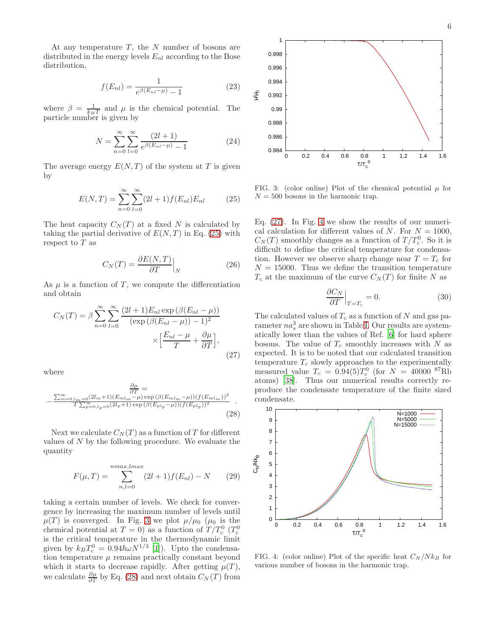$$
f(E_{nl}) = \frac{1}{e^{\beta(E_{nl} - \mu)} - 1}
$$
 (23)

where  $\beta = \frac{1}{k_B T}$  and  $\mu$  is the chemical potential. The particle number is given by

$$
N = \sum_{n=0}^{\infty} \sum_{l=0}^{\infty} \frac{(2l+1)}{e^{\beta(E_{nl}-\mu)} - 1}
$$
 (24)

The average energy  $E(N,T)$  of the system at T is given by

<span id="page-5-0"></span>
$$
E(N,T) = \sum_{n=0}^{\infty} \sum_{l=0}^{\infty} (2l+1) f(E_{nl}) E_{nl}
$$
 (25)

The heat capacity  $C_N(T)$  at a fixed N is calculated by taking the partial derivative of  $E(N, T)$  in Eq. [\(25\)](#page-5-0) with respect to  $T$  as

$$
C_N(T) = \frac{\partial E(N, T)}{\partial T}\Big|_N \tag{26}
$$

As  $\mu$  is a function of T, we compute the differentiation and obtain

<span id="page-5-3"></span>
$$
C_N(T) = \beta \sum_{n=0}^{\infty} \sum_{l=0}^{\infty} \frac{(2l+1)E_{nl} \exp\left(\beta(E_{nl} - \mu)\right)}{(\exp\left(\beta(E_{nl} - \mu)\right) - 1)^2} \times \left[\frac{E_{nl} - \mu}{T} + \frac{\partial \mu}{\partial T}\right],\tag{27}
$$

where

<span id="page-5-2"></span>
$$
\frac{\frac{\partial \mu}{\partial T}}{\frac{\sum_{m=0,l_m=0}^{\infty} (2l_m+1)(E_{ml_m}-\mu) \exp(\beta(E_{ml_m}-\mu))(f(E_{ml_m}))^2}{T \sum_{p=0,l_p=0}^{\infty} (2l_p+1) \exp(\beta(E_{pl_p}-\mu))(f(E_{pl_p}))^2} \tag{28}
$$

Next we calculate  $C<sub>N</sub>(T)$  as a function of T for different values of N by the following procedure. We evaluate the quantity

<span id="page-5-5"></span>
$$
F(\mu, T) = \sum_{n,l=0}^{n \max, l \max} (2l+1) f(E_{nl}) - N \qquad (29)
$$

taking a certain number of levels. We check for convergence by increasing the maximum number of levels until  $\mu(T)$  is converged. In Fig. [3](#page-5-1) we plot  $\mu/\mu_0$  ( $\mu_0$  is the chemical potential at  $T = 0$ ) as a function of  $T/T_c^0$  ( $T_c^0$ ) is the critical temperature in the thermodynamic limit given by  $k_B T_c^0 = 0.94\hbar\omega N^{1/3}$  [\[1](#page-9-0)]). Upto the condensation temperature  $\mu$  remains practically constant beyond which it starts to decrease rapidly. After getting  $\mu(T)$ , we calculate  $\frac{\partial \mu}{\partial T}$  by Eq. [\(28\)](#page-5-2) and next obtain  $C_N(T)$  from



<span id="page-5-1"></span>FIG. 3: (color online) Plot of the chemical potential  $\mu$  for  $N = 500$  bosons in the harmonic trap.

Eq. [\(27\)](#page-5-3). In Fig. [4](#page-5-4) we show the results of our numerical calculation for different values of N. For  $N = 1000$ ,  $C_N(T)$  smoothly changes as a function of  $T/T_c^0$ . So it is difficult to define the critical temperature for condensation. However we observe sharp change near  $T = T_c$  for  $N = 15000$ . Thus we define the transition temperature  $T_c$  at the maximum of the curve  $C_N(T)$  for finite N as

$$
\left. \frac{\partial C_N}{\partial T} \right|_{T = T_c} = 0. \tag{30}
$$

The calculated values of  $T_c$  as a function of N and gas parameter  $na_s^3$  are shown in Table [I.](#page-6-0) Our results are systematically lower than the values of Ref. [\[6](#page-9-5)] for hard sphere bosons. The value of  $T_c$  smoothly increases with  $N$  as expected. It is to be noted that our calculated transition temperature  $T_c$  slowly approaches to the experimentally measured value  $T_c = 0.94(5)T_c^0$  (for  $N = 40000^{87}$ Rb atoms) [\[38\]](#page-9-29). Thus our numerical results correctly reproduce the condensate temperature of the finite sized condensate.



<span id="page-5-4"></span>FIG. 4: (color online) Plot of the specific heat  $C_N/Nk_B$  for various number of bosons in the harmonic trap.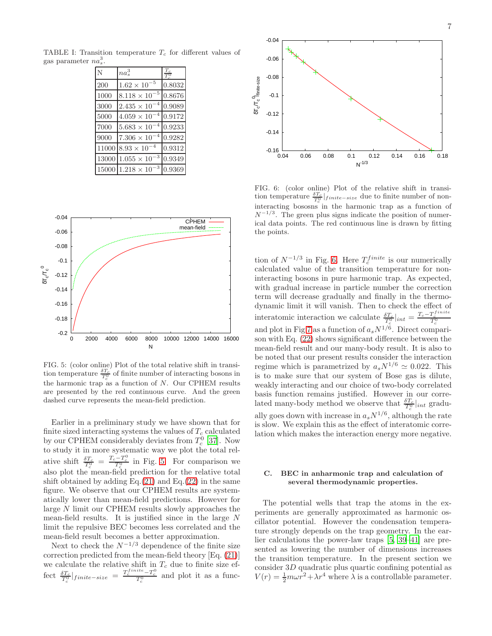TABLE I: Transition temperature  $T_c$  for different values of gas parameter  $na_s^3$ .

<span id="page-6-0"></span>

| Ñ     | $na_s^3$                            |        |
|-------|-------------------------------------|--------|
| 200   | -5<br>$1.62 \times 10$              | 0.8032 |
| 1000  | $8.118\times10^{-5}$                | 0.8676 |
| 3000  | $2.435 \times 10$                   | 0.9089 |
| 5000  | $4.059 \times 10$                   | 0.9172 |
| 7000  | $5.683 \times 10$                   | 0.9233 |
| 9000  | $7.306 \times 10$                   | 0.9282 |
|       | $11000$ $8.93 \times 10^{-4}$       | 0.9312 |
| 13000 | -3<br>$1.055\times10^{-}$           | 0.9349 |
|       | 3<br>$15000$ $1.218 \times 10^{-7}$ | 0.9369 |



<span id="page-6-1"></span>FIG. 5: (color online) Plot of the total relative shift in transition temperature  $\frac{\delta T_c}{T_c^0}$  of finite number of interacting bosons in the harmonic trap as a function of N. Our CPHEM results are presented by the red continuous curve. And the green dashed curve represents the mean-field prediction.

Earlier in a preliminary study we have shown that for finite sized interacting systems the values of  $T_c$  calculated by our CPHEM considerably deviates from  $T_c^0$  [\[37\]](#page-9-28). Now to study it in more systematic way we plot the total relative shift  $\frac{\delta T_c}{T_c^0} = \frac{T_c - T_c^0}{T_c^0}$  in Fig. [5.](#page-6-1) For comparison we also plot the mean-field prediction for the relative total shift obtained by adding Eq. $(21)$  and Eq. $(22)$  in the same figure. We observe that our CPHEM results are systematically lower than mean-field predictions. However for large N limit our CPHEM results slowly approaches the mean-field results. It is justified since in the large N limit the repulsive BEC becomes less correlated and the mean-field result becomes a better approximation.

Next to check the  $N^{-1/3}$  dependence of the finite size correction predicted from the mean-field theory [Eq. [\(21\)](#page-4-0)] we calculate the relative shift in  $T_c$  due to finite size effect  $\frac{\delta T_c}{T_c^0}|_{finite-size} = \frac{T_c^{finite} - T_c^0}{T_c^0}$  and plot it as a func-



<span id="page-6-2"></span>FIG. 6: (color online) Plot of the relative shift in transition temperature  $\frac{\delta T_c}{T_c^0}|_{finite-size}$  due to finite number of noninteracting bososns in the harmonic trap as a function of  $N^{-1/3}$ . The green plus signs indicate the position of numerical data points. The red continuous line is drawn by fitting the points.

tion of  $N^{-1/3}$  in Fig. [6.](#page-6-2) Here  $T_c^{finite}$  is our numerically calculated value of the transition temperature for noninteracting bosons in pure harmonic trap. As expected, with gradual increase in particle number the correction term will decrease gradually and finally in the thermodynamic limit it will vanish. Then to check the effect of interatomic interaction we calculate  $\frac{\delta T_c}{T_c^0}\Big|_{int} = \frac{T_c - T_c^{finite}}{T_c^0}$ and plot in Fig [7](#page-7-0) as a function of  $a_s N^{1/6}$ . Direct comparison with Eq. [\(22\)](#page-4-1) shows significant difference between the mean-field result and our many-body result. It is also to be noted that our present results consider the interaction regime which is parametrized by  $a_s N^{1/6} \simeq 0.022$ . This is to make sure that our system of Bose gas is dilute, weakly interacting and our choice of two-body correlated basis function remains justified. However in our correlated many-body method we observe that  $\frac{\delta T_c}{T_c^0}|_{int}$  gradually goes down with increase in  $a_s N^{1/6}$ , although the rate is slow. We explain this as the effect of interatomic correlation which makes the interaction energy more negative.

#### C. BEC in anharmonic trap and calculation of several thermodynamic properties.

The potential wells that trap the atoms in the experiments are generally approximated as harmonic oscillator potential. However the condensation temperature strongly depends on the trap geometry. In the earlier calculations the power-law traps [\[5](#page-9-4), [39](#page-9-30)[–41\]](#page-10-0) are presented as lowering the number of dimensions increases the transition temperature. In the present section we consider 3D quadratic plus quartic confining potential as  $V(r) = \frac{1}{2}m\omega r^2 + \lambda r^4$  where  $\lambda$  is a controllable parameter.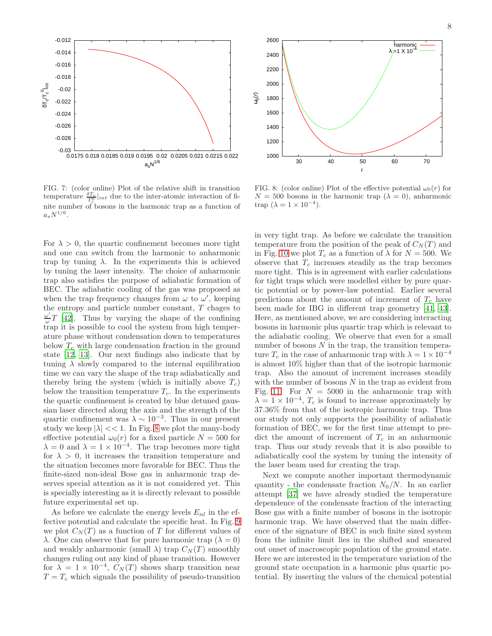

<span id="page-7-0"></span>FIG. 7: (color online) Plot of the relative shift in transition temperature  $\frac{\delta T_c}{T_c^0}|_{int}$  due to the inter-atomic interaction of finite number of bosons in the harmonic trap as a function of  $a_s N^{1/6}.$ 

For  $\lambda > 0$ , the quartic confinement becomes more tight and one can switch from the harmonic to anharmonic trap by tuning  $\lambda$ . In the experiments this is achieved by tuning the laser intensity. The choice of anharmonic trap also satisfies the purpose of adiabatic formation of BEC. The adiabatic cooling of the gas was proposed as when the trap frequency changes from  $\omega$  to  $\omega'$ , keeping the entropy and particle number constant, T chages to ω ′  $\frac{\omega}{\omega}T$  [\[42\]](#page-10-1). Thus by varying the shape of the confining trap it is possible to cool the system from high temperature phase without condensation down to temperatures below  $T_c$  with large condensation fraction in the ground state [\[12](#page-9-31), [13\]](#page-9-9). Our next findings also indicate that by tuning  $\lambda$  slowly compared to the internal equilibration time we can vary the shape of the trap adiabatically and thereby bring the system (which is initially above  $T_c$ ) below the transition temperature  $T_c$ . In the experiments the quartic confinement is created by blue detuned gaussian laser directed along the axis and the strength of the quartic confinement was  $\lambda \sim 10^{-3}$ . Thus in our present study we keep  $|\lambda| << 1$ . In Fig. [8](#page-7-1) we plot the many-body effective potential  $\omega_0(r)$  for a fixed particle  $N = 500$  for  $\lambda = 0$  and  $\lambda = 1 \times 10^{-4}$ . The trap becomes more tight for  $\lambda > 0$ , it increases the transition temperature and the situation becomes more favorable for BEC. Thus the finite-sized non-ideal Bose gas in anharmonic trap deserves special attention as it is not considered yet. This is specially interesting as it is directly relevant to possible future experimental set up.

As before we calculate the energy levels  $E_{nl}$  in the effective potential and calculate the specific heat. In Fig. [9](#page-8-0) we plot  $C<sub>N</sub>(T)$  as a function of T for different values of  $\lambda$ . One can observe that for pure harmonic trap  $(\lambda = 0)$ and weakly anharmonic (small  $\lambda$ ) trap  $C_N(T)$  smoothly changes ruling out any kind of phase transition. However for  $\lambda = 1 \times 10^{-4}$ ,  $C_N(T)$  shows sharp transition near  $T = T_c$  which signals the possibility of pseudo-transition



<span id="page-7-1"></span>FIG. 8: (color online) Plot of the effective potential  $\omega_0(r)$  for  $N = 500$  bosons in the harmonic trap  $(\lambda = 0)$ , anharmonic trap  $(\lambda = 1 \times 10^{-4})$ .

in very tight trap. As before we calculate the transition temperature from the position of the peak of  $C<sub>N</sub>(T)$  and in Fig. [10](#page-8-1) we plot  $T_c$  as a function of  $\lambda$  for  $N = 500$ . We observe that  $T_c$  increases steadily as the trap becomes more tight. This is in agreement with earlier calculations for tight traps which were modelled either by pure quartic potential or by power-law potential. Earlier several predictions about the amount of increment of  $T_c$  have been made for IBG in different trap geometry [\[41,](#page-10-0) [43\]](#page-10-2). Here, as mentioned above, we are considering interacting bosons in harmonic plus quartic trap which is relevant to the adiabatic cooling. We observe that even for a small number of bosons  $N$  in the trap, the transition temperature  $T_c$  in the case of anharmonic trap with  $\lambda = 1 \times 10^{-4}$ is almost 10% higher than that of the isotropic harmonic trap. Also the amount of increment increases steadily with the number of bosons  $N$  in the trap as evident from Fig. [11.](#page-8-2) For  $N = 5000$  in the anharmonic trap with  $\lambda = 1 \times 10^{-4}$ ,  $T_c$  is found to increase approximately by 37.36% from that of the isotropic harmonic trap. Thus our study not only supports the possibility of adiabatic formation of BEC, we for the first time attempt to predict the amount of increment of  $T_c$  in an anharmonic trap. Thus our study reveals that it is also possible to adiabatically cool the system by tuning the intensity of the laser beam used for creating the trap.

Next we compute another important thermodynamic quantity - the condensate fraction  $N_0/N$ . In an earlier attempt [\[37](#page-9-28)] we have already studied the temperature dependence of the condensate fraction of the interacting Bose gas with a finite number of bosons in the isotropic harmonic trap. We have observed that the main difference of the signature of BEC in such finite sized system from the infinite limit lies in the shifted and smeared out onset of macroscopic population of the ground state. Here we are interested in the temperature variation of the ground state occupation in a harmonic plus quartic potential. By inserting the values of the chemical potential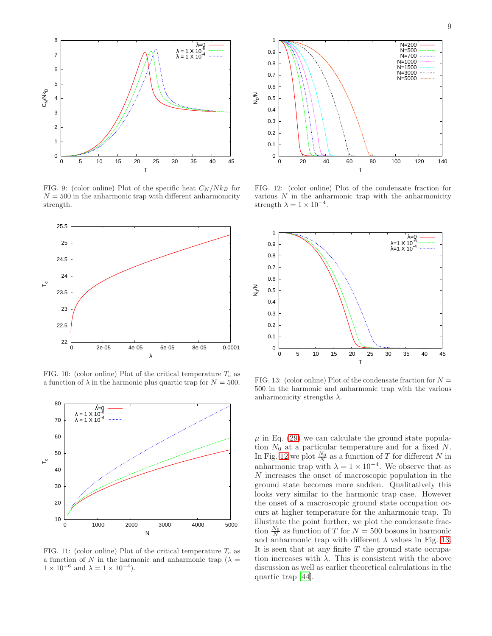

<span id="page-8-0"></span>FIG. 9: (color online) Plot of the specific heat  $C_N/Nk_B$  for  $N = 500$  in the anharmonic trap with different anharmonicity strength.



<span id="page-8-1"></span>FIG. 10: (color online) Plot of the critical temperature  $T_c$  as a function of  $\lambda$  in the harmonic plus quartic trap for  $N = 500$ .



<span id="page-8-2"></span>FIG. 11: (color online) Plot of the critical temperature  $T_c$  as a function of N in the harmonic and anharmonic trap ( $\lambda =$  $1 \times 10^{-6}$  and  $\lambda = 1 \times 10^{-4}$ ).



<span id="page-8-3"></span>FIG. 12: (color online) Plot of the condensate fraction for various  $N$  in the anharmonic trap with the anharmonicity strength  $\lambda = 1 \times 10^{-4}$ .



<span id="page-8-4"></span>FIG. 13: (color online) Plot of the condensate fraction for  $N =$ 500 in the harmonic and anharmonic trap with the various anharmonicity strengths  $\lambda$ .

 $\mu$  in Eq. [\(29\)](#page-5-5) we can calculate the ground state population  $N_0$  at a particular temperature and for a fixed N. In Fig. [12](#page-8-3) we plot  $\frac{N_0}{N}$  as a function of T for different N in anharmonic trap with  $\lambda = 1 \times 10^{-4}$ . We observe that as N increases the onset of macroscopic population in the ground state becomes more sudden. Qualitatively this looks very similar to the harmonic trap case. However the onset of a macroscopic ground state occupation occurs at higher temperature for the anharmonic trap. To illustrate the point further, we plot the condensate fraction  $\frac{N_0}{N}$  as function of T for  $N = 500$  bosons in harmonic and anharmonic trap with different  $\lambda$  values in Fig. [13.](#page-8-4) It is seen that at any finite  $T$  the ground state occupation increases with  $\lambda$ . This is consistent with the above discussion as well as earlier theoretical calculations in the quartic trap [\[44\]](#page-10-3).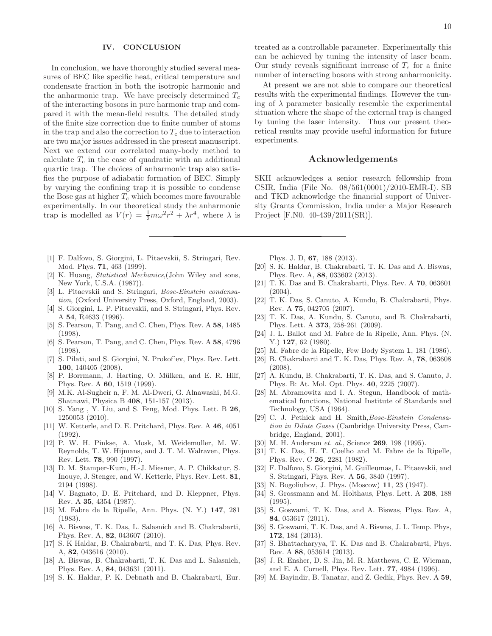#### IV. CONCLUSION

In conclusion, we have thoroughly studied several measures of BEC like specific heat, critical temperature and condensate fraction in both the isotropic harmonic and the anharmonic trap. We have precisely determined  $T_c$ of the interacting bosons in pure harmonic trap and compared it with the mean-field results. The detailed study of the finite size correction due to finite number of atoms in the trap and also the correction to  $T_c$  due to interaction are two major issues addressed in the present manuscript. Next we extend our correlated many-body method to calculate  $T_c$  in the case of quadratic with an additional quartic trap. The choices of anharmonic trap also satisfies the purpose of adiabatic formation of BEC. Simply by varying the confining trap it is possible to condense the Bose gas at higher  $T_c$  which becomes more favourable experimentally. In our theoretical study the anharmonic trap is modelled as  $V(r) = \frac{1}{2}m\omega^2r^2 + \lambda r^4$ , where  $\lambda$  is

- <span id="page-9-0"></span>[1] F. Dalfovo, S. Giorgini, L. Pitaevskii, S. Stringari, Rev. Mod. Phys. 71, 463 (1999).
- <span id="page-9-1"></span>[2] K. Huang, Statistical Mechanics,(John Wiley and sons, New York, U.S.A. (1987)).
- <span id="page-9-2"></span>[3] L. Pitaevskii and S. Stringari, Bose-Einstein condensation, (Oxford University Press, Oxford, England, 2003).
- <span id="page-9-3"></span>[4] S. Giorgini, L. P. Pitaevskii, and S. Stringari, Phys. Rev. A 54, R4633 (1996).
- <span id="page-9-4"></span>[5] S. Pearson, T. Pang, and C. Chen, Phys. Rev. A 58, 1485 (1998).
- <span id="page-9-5"></span>[6] S. Pearson, T. Pang, and C. Chen, Phys. Rev. A 58, 4796 (1998).
- <span id="page-9-6"></span>[7] S. Pilati, and S. Giorgini, N. Prokof'ev, Phys. Rev. Lett. 100, 140405 (2008).
- [8] P. Borrmann, J. Harting, O. Mülken, and E. R. Hilf, Phys. Rev. A 60, 1519 (1999).
- [9] M.K. Al-Sugheir n, F. M. Al-Dweri, G. Alnawashi, M.G. Shatnawi, Physica B 408, 151-157 (2013).
- <span id="page-9-7"></span>[10] S. Yang , Y. Liu, and S. Feng, Mod. Phys. Lett. B 26, 1250053 (2010).
- <span id="page-9-8"></span>[11] W. Ketterle, and D. E. Pritchard, Phys. Rev. A 46, 4051 (1992).
- <span id="page-9-31"></span>[12] P. W. H. Pinkse, A. Mosk, M. Weidemuller, M. W. Reynolds, T. W. Hijmans, and J. T. M. Walraven, Phys. Rev. Lett. 78, 990 (1997).
- <span id="page-9-9"></span>[13] D. M. Stamper-Kurn, H.-J. Miesner, A. P. Chikkatur, S. Inouye, J. Stenger, and W. Ketterle, Phys. Rev. Lett. 81, 2194 (1998).
- <span id="page-9-10"></span>[14] V. Bagnato, D. E. Pritchard, and D. Kleppner, Phys. Rev. A 35, 4354 (1987).
- <span id="page-9-11"></span>[15] M. Fabre de la Ripelle, Ann. Phys. (N. Y.) 147, 281 (1983).
- <span id="page-9-12"></span>[16] A. Biswas, T. K. Das, L. Salasnich and B. Chakrabarti, Phys. Rev. A, 82, 043607 (2010).
- [17] S. K Haldar, B. Chakrabarti, and T. K. Das, Phys. Rev. A, 82, 043616 (2010).
- [18] A. Biswas, B. Chakrabarti, T. K. Das and L. Salasnich, Phys. Rev. A, 84, 043631 (2011).
- [19] S. K. Haldar, P. K. Debnath and B. Chakrabarti, Eur.

treated as a controllable parameter. Experimentally this can be achieved by tuning the intensity of laser beam. Our study reveals significant increase of  $T_c$  for a finite number of interacting bosons with strong anharmonicity.

At present we are not able to compare our theoretical results with the experimental findings. However the tuning of  $\lambda$  parameter basically resemble the experimental situation where the shape of the external trap is changed by tuning the laser intensity. Thus our present theoretical results may provide useful information for future experiments.

# Acknowledgements

SKH acknowledges a senior research fellowship from CSIR, India (File No. 08/561(0001)/2010-EMR-I). SB and TKD acknowledge the financial support of University Grants Commission, India under a Major Research Project [F.N0. 40-439/2011(SR)].

Phys. J. D, 67, 188 (2013).

- <span id="page-9-13"></span>[20] S. K. Haldar, B. Chakrabarti, T. K. Das and A. Biswas, Phys. Rev. A, 88, 033602 (2013).
- <span id="page-9-14"></span>[21] T. K. Das and B. Chakrabarti, Phys. Rev. A 70, 063601  $(2004)$ .
- [22] T. K. Das, S. Canuto, A. Kundu, B. Chakrabarti, Phys. Rev. A 75, 042705 (2007).
- <span id="page-9-15"></span>[23] T. K. Das, A. Kundu, S. Canuto, and B. Chakrabarti, Phys. Lett. A 373, 258-261 (2009).
- <span id="page-9-16"></span>[24] J. L. Ballot and M. Fabre de la Ripelle, Ann. Phys. (N. Y.) **127**, 62 (1980).
- <span id="page-9-17"></span>[25] M. Fabre de la Ripelle, Few Body System 1, 181 (1986).
- <span id="page-9-18"></span>[26] B. Chakrabarti and T. K. Das, Phys. Rev. A, 78, 063608 (2008).
- <span id="page-9-19"></span>[27] A. Kundu, B. Chakrabarti, T. K. Das, and S. Canuto, J. Phys. B: At. Mol. Opt. Phys. 40, 2225 (2007).
- <span id="page-9-20"></span>[28] M. Abramowitz and I. A. Stegun, Handbook of mathematical functions, National Institute of Standards and Technology, USA (1964).
- <span id="page-9-21"></span>[29] C. J. Pethick and H. Smith, Bose-Einstein Condensation in Dilute Gases (Cambridge University Press, Cambridge, England, 2001).
- <span id="page-9-22"></span>[30] M. H. Anderson et. al., Science **269**, 198 (1995).
- <span id="page-9-23"></span>[31] T. K. Das, H. T. Coelho and M. Fabre de la Ripelle, Phys. Rev. C 26, 2281 (1982).
- <span id="page-9-24"></span>[32] F. Dalfovo, S. Giorgini, M. Guilleumas, L. Pitaevskii, and S. Stringari, Phys. Rev. A 56, 3840 (1997).
- <span id="page-9-25"></span>[33] N. Bogoliubov, J. Phys. (Moscow) **11**, 23 (1947).
- <span id="page-9-26"></span>[34] S. Grossmann and M. Holthaus, Phys. Lett. A 208, 188 (1995).
- <span id="page-9-27"></span>[35] S. Goswami, T. K. Das, and A. Biswas, Phys. Rev. A, 84, 053617 (2011).
- [36] S. Goswami, T. K. Das, and A. Biswas, J. L. Temp. Phys, 172, 184 (2013).
- <span id="page-9-28"></span>[37] S. Bhattacharyya, T. K. Das and B. Chakrabarti, Phys. Rev. A 88, 053614 (2013).
- <span id="page-9-29"></span>[38] J. R. Ensher, D. S. Jin, M. R. Matthews, C. E. Wieman, and E. A. Cornell, Phys. Rev. Lett. 77, 4984 (1996).
- <span id="page-9-30"></span>[39] M. Bayindir, B. Tanatar, and Z. Gedik, Phys. Rev. A 59,